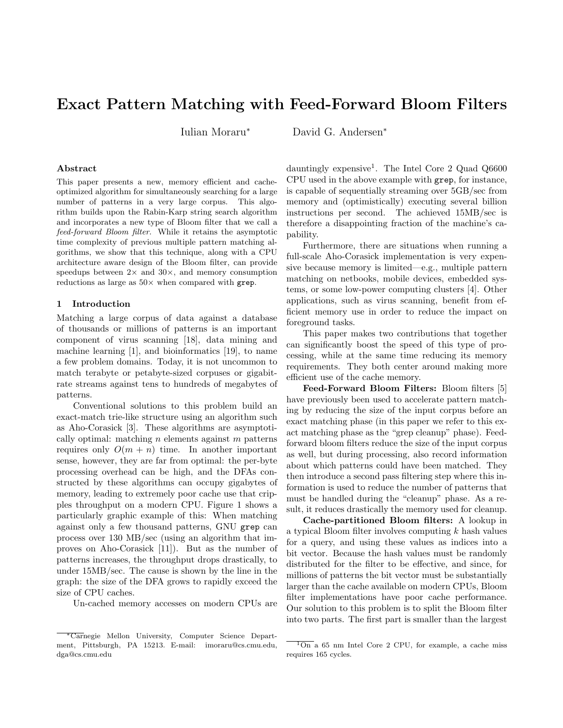# Exact Pattern Matching with Feed-Forward Bloom Filters

Iulian Moraru<sup>∗</sup> David G. Andersen<sup>∗</sup>

#### Abstract

This paper presents a new, memory efficient and cacheoptimized algorithm for simultaneously searching for a large number of patterns in a very large corpus. This algorithm builds upon the Rabin-Karp string search algorithm and incorporates a new type of Bloom filter that we call a feed-forward Bloom filter. While it retains the asymptotic time complexity of previous multiple pattern matching algorithms, we show that this technique, along with a CPU architecture aware design of the Bloom filter, can provide speedups between  $2 \times$  and  $30 \times$ , and memory consumption reductions as large as  $50\times$  when compared with grep.

#### 1 Introduction

Matching a large corpus of data against a database of thousands or millions of patterns is an important component of virus scanning [\[18\]](#page-11-0), data mining and machine learning [\[1\]](#page-10-0), and bioinformatics [\[19\]](#page-11-1), to name a few problem domains. Today, it is not uncommon to match terabyte or petabyte-sized corpuses or gigabitrate streams against tens to hundreds of megabytes of patterns.

Conventional solutions to this problem build an exact-match trie-like structure using an algorithm such as Aho-Corasick [\[3\]](#page-10-1). These algorithms are asymptotically optimal: matching  $n$  elements against  $m$  patterns requires only  $O(m + n)$  time. In another important sense, however, they are far from optimal: the per-byte processing overhead can be high, and the DFAs constructed by these algorithms can occupy gigabytes of memory, leading to extremely poor cache use that cripples throughput on a modern CPU. Figure [1](#page-1-0) shows a particularly graphic example of this: When matching against only a few thousand patterns, GNU grep can process over 130 MB/sec (using an algorithm that improves on Aho-Corasick [\[11\]](#page-11-2)). But as the number of patterns increases, the throughput drops drastically, to under 15MB/sec. The cause is shown by the line in the graph: the size of the DFA grows to rapidly exceed the size of CPU caches.

Un-cached memory accesses on modern CPUs are

dauntingly expensive<sup>[1](#page-0-0)</sup>. The Intel Core 2 Quad Q6600 CPU used in the above example with grep, for instance, is capable of sequentially streaming over 5GB/sec from memory and (optimistically) executing several billion instructions per second. The achieved 15MB/sec is therefore a disappointing fraction of the machine's capability.

Furthermore, there are situations when running a full-scale Aho-Corasick implementation is very expensive because memory is limited—e.g., multiple pattern matching on netbooks, mobile devices, embedded systems, or some low-power computing clusters [\[4\]](#page-10-2). Other applications, such as virus scanning, benefit from efficient memory use in order to reduce the impact on foreground tasks.

This paper makes two contributions that together can significantly boost the speed of this type of processing, while at the same time reducing its memory requirements. They both center around making more efficient use of the cache memory.

Feed-Forward Bloom Filters: Bloom filters [\[5\]](#page-10-3) have previously been used to accelerate pattern matching by reducing the size of the input corpus before an exact matching phase (in this paper we refer to this exact matching phase as the "grep cleanup" phase). Feedforward bloom filters reduce the size of the input corpus as well, but during processing, also record information about which patterns could have been matched. They then introduce a second pass filtering step where this information is used to reduce the number of patterns that must be handled during the "cleanup" phase. As a result, it reduces drastically the memory used for cleanup.

Cache-partitioned Bloom filters: A lookup in a typical Bloom filter involves computing k hash values for a query, and using these values as indices into a bit vector. Because the hash values must be randomly distributed for the filter to be effective, and since, for millions of patterns the bit vector must be substantially larger than the cache available on modern CPUs, Bloom filter implementations have poor cache performance. Our solution to this problem is to split the Bloom filter into two parts. The first part is smaller than the largest

<sup>∗</sup>Carnegie Mellon University, Computer Science Department, Pittsburgh, PA 15213. E-mail: imoraru@cs.cmu.edu, dga@cs.cmu.edu

<span id="page-0-0"></span> $\overline{^{1}$ On a 65 nm Intel Core 2 CPU, for example, a cache miss requires 165 cycles.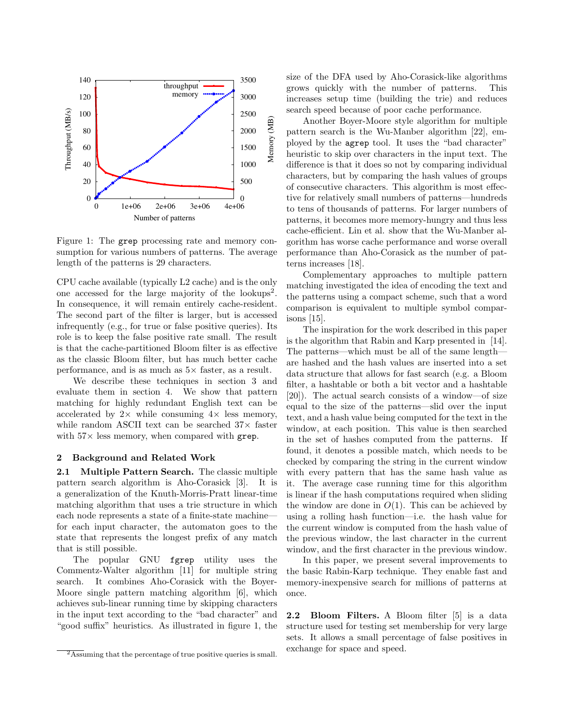

<span id="page-1-0"></span>Figure 1: The grep processing rate and memory consumption for various numbers of patterns. The average length of the patterns is 29 characters.

CPU cache available (typically L2 cache) and is the only one accessed for the large majority of the lookups<sup>[2](#page-1-1)</sup>. In consequence, it will remain entirely cache-resident. The second part of the filter is larger, but is accessed infrequently (e.g., for true or false positive queries). Its role is to keep the false positive rate small. The result is that the cache-partitioned Bloom filter is as effective as the classic Bloom filter, but has much better cache performance, and is as much as 5× faster, as a result.

We describe these techniques in section [3](#page-2-0) and evaluate them in section [4.](#page-7-0) We show that pattern matching for highly redundant English text can be accelerated by  $2 \times$  while consuming  $4 \times$  less memory, while random ASCII text can be searched  $37\times$  faster with  $57\times$  less memory, when compared with grep.

#### 2 Background and Related Work

2.1 Multiple Pattern Search. The classic multiple pattern search algorithm is Aho-Corasick [\[3\]](#page-10-1). It is a generalization of the Knuth-Morris-Pratt linear-time matching algorithm that uses a trie structure in which each node represents a state of a finite-state machine for each input character, the automaton goes to the state that represents the longest prefix of any match that is still possible.

The popular GNU fgrep utility uses the Commentz-Walter algorithm [\[11\]](#page-11-2) for multiple string search. It combines Aho-Corasick with the Boyer-Moore single pattern matching algorithm [\[6\]](#page-11-3), which achieves sub-linear running time by skipping characters in the input text according to the "bad character" and "good suffix" heuristics. As illustrated in figure [1,](#page-1-0) the size of the DFA used by Aho-Corasick-like algorithms grows quickly with the number of patterns. This increases setup time (building the trie) and reduces search speed because of poor cache performance.

Another Boyer-Moore style algorithm for multiple pattern search is the Wu-Manber algorithm [\[22\]](#page-11-4), employed by the agrep tool. It uses the "bad character" heuristic to skip over characters in the input text. The difference is that it does so not by comparing individual characters, but by comparing the hash values of groups of consecutive characters. This algorithm is most effective for relatively small numbers of patterns—hundreds to tens of thousands of patterns. For larger numbers of patterns, it becomes more memory-hungry and thus less cache-efficient. Lin et al. show that the Wu-Manber algorithm has worse cache performance and worse overall performance than Aho-Corasick as the number of patterns increases [\[18\]](#page-11-0).

Complementary approaches to multiple pattern matching investigated the idea of encoding the text and the patterns using a compact scheme, such that a word comparison is equivalent to multiple symbol comparisons [\[15\]](#page-11-5).

The inspiration for the work described in this paper is the algorithm that Rabin and Karp presented in [\[14\]](#page-11-6). The patterns—which must be all of the same length are hashed and the hash values are inserted into a set data structure that allows for fast search (e.g. a Bloom filter, a hashtable or both a bit vector and a hashtable [\[20\]](#page-11-7)). The actual search consists of a window—of size equal to the size of the patterns—slid over the input text, and a hash value being computed for the text in the window, at each position. This value is then searched in the set of hashes computed from the patterns. If found, it denotes a possible match, which needs to be checked by comparing the string in the current window with every pattern that has the same hash value as it. The average case running time for this algorithm is linear if the hash computations required when sliding the window are done in  $O(1)$ . This can be achieved by using a rolling hash function—i.e. the hash value for the current window is computed from the hash value of the previous window, the last character in the current window, and the first character in the previous window.

In this paper, we present several improvements to the basic Rabin-Karp technique. They enable fast and memory-inexpensive search for millions of patterns at once.

2.2 Bloom Filters. A Bloom filter [\[5\]](#page-10-3) is a data structure used for testing set membership for very large sets. It allows a small percentage of false positives in exchange for space and speed.

<span id="page-1-1"></span> $\sqrt[2]{\text{Assuming that}}$  that the percentage of true positive queries is small.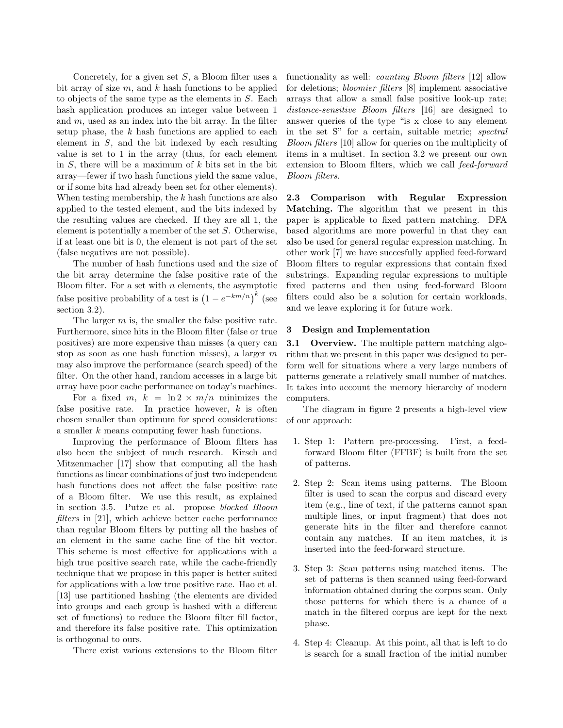Concretely, for a given set  $S$ , a Bloom filter uses a bit array of size  $m$ , and  $k$  hash functions to be applied to objects of the same type as the elements in S. Each hash application produces an integer value between 1 and  $m$ , used as an index into the bit array. In the filter setup phase, the  $k$  hash functions are applied to each element in S, and the bit indexed by each resulting value is set to 1 in the array (thus, for each element in  $S$ , there will be a maximum of  $k$  bits set in the bit array—fewer if two hash functions yield the same value, or if some bits had already been set for other elements). When testing membership, the  $k$  hash functions are also applied to the tested element, and the bits indexed by the resulting values are checked. If they are all 1, the element is potentially a member of the set S. Otherwise, if at least one bit is 0, the element is not part of the set (false negatives are not possible).

The number of hash functions used and the size of the bit array determine the false positive rate of the Bloom filter. For a set with  $n$  elements, the asymptotic false positive probability of a test is  $(1 - e^{-km/n})^k$  (see section [3.2\)](#page-3-0).

The larger m is, the smaller the false positive rate. Furthermore, since hits in the Bloom filter (false or true positives) are more expensive than misses (a query can stop as soon as one hash function misses), a larger m may also improve the performance (search speed) of the filter. On the other hand, random accesses in a large bit array have poor cache performance on today's machines.

For a fixed m,  $k = \ln 2 \times m/n$  minimizes the false positive rate. In practice however,  $k$  is often chosen smaller than optimum for speed considerations: a smaller k means computing fewer hash functions.

Improving the performance of Bloom filters has also been the subject of much research. Kirsch and Mitzenmacher [\[17\]](#page-11-8) show that computing all the hash functions as linear combinations of just two independent hash functions does not affect the false positive rate of a Bloom filter. We use this result, as explained in section [3.5.](#page-6-0) Putze et al. propose blocked Bloom filters in [\[21\]](#page-11-9), which achieve better cache performance than regular Bloom filters by putting all the hashes of an element in the same cache line of the bit vector. This scheme is most effective for applications with a high true positive search rate, while the cache-friendly technique that we propose in this paper is better suited for applications with a low true positive rate. Hao et al. [\[13\]](#page-11-10) use partitioned hashing (the elements are divided into groups and each group is hashed with a different set of functions) to reduce the Bloom filter fill factor, and therefore its false positive rate. This optimization is orthogonal to ours.

There exist various extensions to the Bloom filter

functionality as well: counting Bloom filters [\[12\]](#page-11-11) allow for deletions; bloomier filters [\[8\]](#page-11-12) implement associative arrays that allow a small false positive look-up rate; distance-sensitive Bloom filters [\[16\]](#page-11-13) are designed to answer queries of the type "is x close to any element in the set S" for a certain, suitable metric; spectral Bloom filters [\[10\]](#page-11-14) allow for queries on the multiplicity of items in a multiset. In section [3.2](#page-3-0) we present our own extension to Bloom filters, which we call feed-forward Bloom filters.

2.3 Comparison with Regular Expression Matching. The algorithm that we present in this paper is applicable to fixed pattern matching. DFA based algorithms are more powerful in that they can also be used for general regular expression matching. In other work [\[7\]](#page-11-15) we have succesfully applied feed-forward Bloom filters to regular expressions that contain fixed substrings. Expanding regular expressions to multiple fixed patterns and then using feed-forward Bloom filters could also be a solution for certain workloads, and we leave exploring it for future work.

## <span id="page-2-0"></span>3 Design and Implementation

**3.1 Overview.** The multiple pattern matching algorithm that we present in this paper was designed to perform well for situations where a very large numbers of patterns generate a relatively small number of matches. It takes into account the memory hierarchy of modern computers.

The diagram in figure [2](#page-3-1) presents a high-level view of our approach:

- 1. Step 1: Pattern pre-processing. First, a feedforward Bloom filter (FFBF) is built from the set of patterns.
- 2. Step 2: Scan items using patterns. The Bloom filter is used to scan the corpus and discard every item (e.g., line of text, if the patterns cannot span multiple lines, or input fragment) that does not generate hits in the filter and therefore cannot contain any matches. If an item matches, it is inserted into the feed-forward structure.
- 3. Step 3: Scan patterns using matched items. The set of patterns is then scanned using feed-forward information obtained during the corpus scan. Only those patterns for which there is a chance of a match in the filtered corpus are kept for the next phase.
- 4. Step 4: Cleanup. At this point, all that is left to do is search for a small fraction of the initial number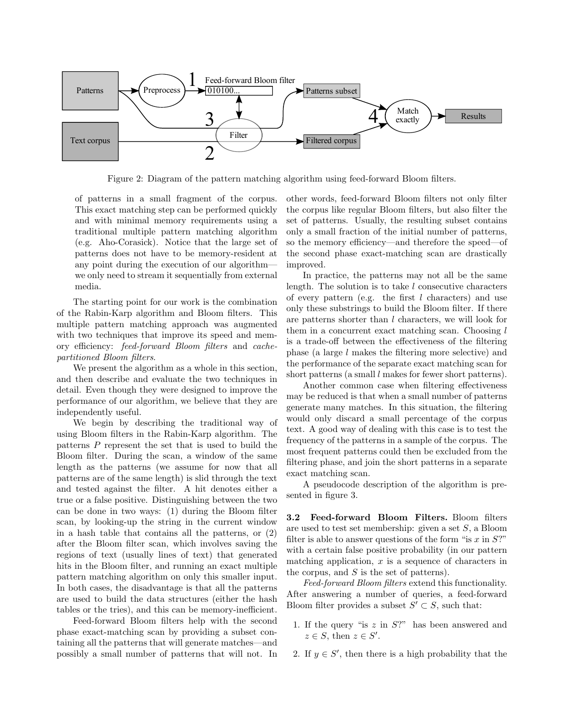

<span id="page-3-1"></span>Figure 2: Diagram of the pattern matching algorithm using feed-forward Bloom filters.

of patterns in a small fragment of the corpus. This exact matching step can be performed quickly and with minimal memory requirements using a traditional multiple pattern matching algorithm (e.g. Aho-Corasick). Notice that the large set of patterns does not have to be memory-resident at any point during the execution of our algorithm we only need to stream it sequentially from external media.

The starting point for our work is the combination of the Rabin-Karp algorithm and Bloom filters. This multiple pattern matching approach was augmented with two techniques that improve its speed and memory efficiency: feed-forward Bloom filters and cachepartitioned Bloom filters.

We present the algorithm as a whole in this section, and then describe and evaluate the two techniques in detail. Even though they were designed to improve the performance of our algorithm, we believe that they are independently useful.

We begin by describing the traditional way of using Bloom filters in the Rabin-Karp algorithm. The patterns P represent the set that is used to build the Bloom filter. During the scan, a window of the same length as the patterns (we assume for now that all patterns are of the same length) is slid through the text and tested against the filter. A hit denotes either a true or a false positive. Distinguishing between the two can be done in two ways: (1) during the Bloom filter scan, by looking-up the string in the current window in a hash table that contains all the patterns, or (2) after the Bloom filter scan, which involves saving the regions of text (usually lines of text) that generated hits in the Bloom filter, and running an exact multiple pattern matching algorithm on only this smaller input. In both cases, the disadvantage is that all the patterns are used to build the data structures (either the hash tables or the tries), and this can be memory-inefficient.

Feed-forward Bloom filters help with the second phase exact-matching scan by providing a subset containing all the patterns that will generate matches—and possibly a small number of patterns that will not. In other words, feed-forward Bloom filters not only filter the corpus like regular Bloom filters, but also filter the set of patterns. Usually, the resulting subset contains only a small fraction of the initial number of patterns, so the memory efficiency—and therefore the speed—of the second phase exact-matching scan are drastically improved.

In practice, the patterns may not all be the same length. The solution is to take  $l$  consecutive characters of every pattern (e.g. the first  $l$  characters) and use only these substrings to build the Bloom filter. If there are patterns shorter than l characters, we will look for them in a concurrent exact matching scan. Choosing  $l$ is a trade-off between the effectiveness of the filtering phase (a large l makes the filtering more selective) and the performance of the separate exact matching scan for short patterns (a small l makes for fewer short patterns).

Another common case when filtering effectiveness may be reduced is that when a small number of patterns generate many matches. In this situation, the filtering would only discard a small percentage of the corpus text. A good way of dealing with this case is to test the frequency of the patterns in a sample of the corpus. The most frequent patterns could then be excluded from the filtering phase, and join the short patterns in a separate exact matching scan.

A pseudocode description of the algorithm is presented in figure [3.](#page-4-0)

<span id="page-3-0"></span>3.2 Feed-forward Bloom Filters. Bloom filters are used to test set membership: given a set S, a Bloom filter is able to answer questions of the form "is  $x$  in  $S$ ?" with a certain false positive probability (in our pattern matching application,  $x$  is a sequence of characters in the corpus, and  $S$  is the set of patterns).

Feed-forward Bloom filters extend this functionality. After answering a number of queries, a feed-forward Bloom filter provides a subset  $S' \subset S$ , such that:

- 1. If the query "is  $z$  in  $S$ ?" has been answered and  $z \in S$ , then  $z \in S'$ .
- 2. If  $y \in S'$ , then there is a high probability that the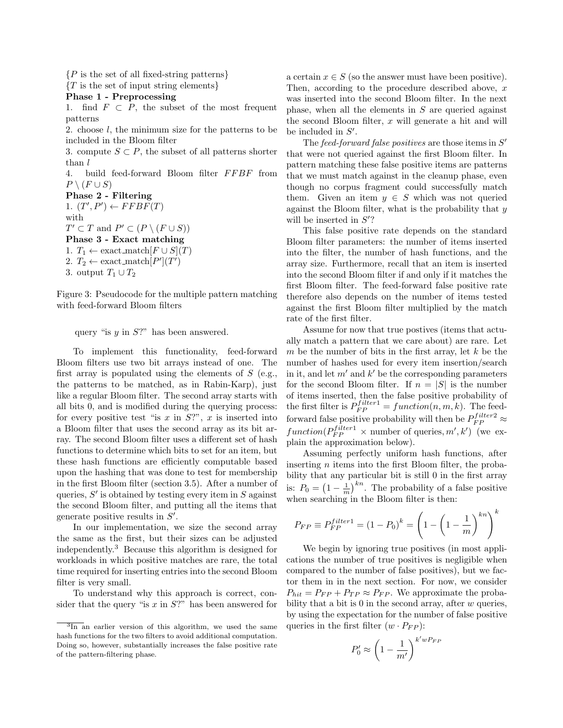${P}$  is the set of all fixed-string patterns}  ${T is the set of input string elements}$ Phase 1 - Preprocessing 1. find  $F \subset P$ , the subset of the most frequent patterns 2. choose  $l$ , the minimum size for the patterns to be included in the Bloom filter 3. compute  $S \subset P$ , the subset of all patterns shorter than l 4. build feed-forward Bloom filter FFBF from  $P \setminus (F \cup S)$ Phase 2 - Filtering 1.  $(T', P') \leftarrow FFBF(T)$ with  $T' \subset T$  and  $P' \subset (P \setminus (F \cup S))$ Phase 3 - Exact matching 1.  $T_1 \leftarrow$  exact\_match $[F \cup S](T)$ 2.  $T_2 \leftarrow$  exact\_match $[P'](T')$ 

<span id="page-4-0"></span>3. output  $T_1 \cup T_2$ 

Figure 3: Pseudocode for the multiple pattern matching with feed-forward Bloom filters

query "is  $y$  in  $S$ ?" has been answered.

To implement this functionality, feed-forward Bloom filters use two bit arrays instead of one. The first array is populated using the elements of  $S$  (e.g., the patterns to be matched, as in Rabin-Karp), just like a regular Bloom filter. The second array starts with all bits 0, and is modified during the querying process: for every positive test "is  $x$  in  $S$ ?",  $x$  is inserted into a Bloom filter that uses the second array as its bit array. The second Bloom filter uses a different set of hash functions to determine which bits to set for an item, but these hash functions are efficiently computable based upon the hashing that was done to test for membership in the first Bloom filter (section [3.5\)](#page-6-0). After a number of queries,  $S'$  is obtained by testing every item in  $S$  against the second Bloom filter, and putting all the items that generate positive results in  $S'$ .

In our implementation, we size the second array the same as the first, but their sizes can be adjusted independently.[3](#page-4-1) Because this algorithm is designed for workloads in which positive matches are rare, the total time required for inserting entries into the second Bloom filter is very small.

To understand why this approach is correct, consider that the query "is  $x$  in  $S$ ?" has been answered for a certain  $x \in S$  (so the answer must have been positive). Then, according to the procedure described above,  $x$ was inserted into the second Bloom filter. In the next phase, when all the elements in  $S$  are queried against the second Bloom filter,  $x$  will generate a hit and will be included in  $S'$ .

The feed-forward false positives are those items in  $S'$ that were not queried against the first Bloom filter. In pattern matching these false positive items are patterns that we must match against in the cleanup phase, even though no corpus fragment could successfully match them. Given an item  $y \in S$  which was not queried against the Bloom filter, what is the probability that  $y$ will be inserted in  $S'$ ?

This false positive rate depends on the standard Bloom filter parameters: the number of items inserted into the filter, the number of hash functions, and the array size. Furthermore, recall that an item is inserted into the second Bloom filter if and only if it matches the first Bloom filter. The feed-forward false positive rate therefore also depends on the number of items tested against the first Bloom filter multiplied by the match rate of the first filter.

Assume for now that true postives (items that actually match a pattern that we care about) are rare. Let m be the number of bits in the first array, let  $k$  be the number of hashes used for every item insertion/search in it, and let  $m'$  and  $k'$  be the corresponding parameters for the second Bloom filter. If  $n = |S|$  is the number of items inserted, then the false positive probability of the first filter is  $P_{FP}^{filter1} = function(n, m, k)$ . The feedforward false positive probability will then be  $P_{FP}^{filter2} \approx$  $function(P_{FP}^{filter1} \times \text{number of queries}, m', k')$  (we explain the approximation below).

Assuming perfectly uniform hash functions, after inserting  $n$  items into the first Bloom filter, the probability that any particular bit is still 0 in the first array is:  $P_0 = \left(1 - \frac{1}{m}\right)^{kn}$ . The probability of a false positive when searching in the Bloom filter is then:

$$
P_{FP} \equiv P_{FP}^{filter1} = (1 - P_0)^k = \left(1 - \left(1 - \frac{1}{m}\right)^{kn}\right)^k
$$

We begin by ignoring true positives (in most applications the number of true positives is negligible when compared to the number of false positives), but we factor them in in the next section. For now, we consider  $P_{hit} = P_{FP} + P_{TP} \approx P_{FP}$ . We approximate the probability that a bit is  $0$  in the second array, after  $w$  queries, by using the expectation for the number of false positive queries in the first filter  $(w \cdot P_{FP})$ :

$$
P'_0 \approx \left(1 - \frac{1}{m'}\right)^{k'wP_{FF}}
$$

<span id="page-4-1"></span> $\overline{{}^3\text{In}}$  an earlier version of this algorithm, we used the same hash functions for the two filters to avoid additional computation. Doing so, however, substantially increases the false positive rate of the pattern-filtering phase.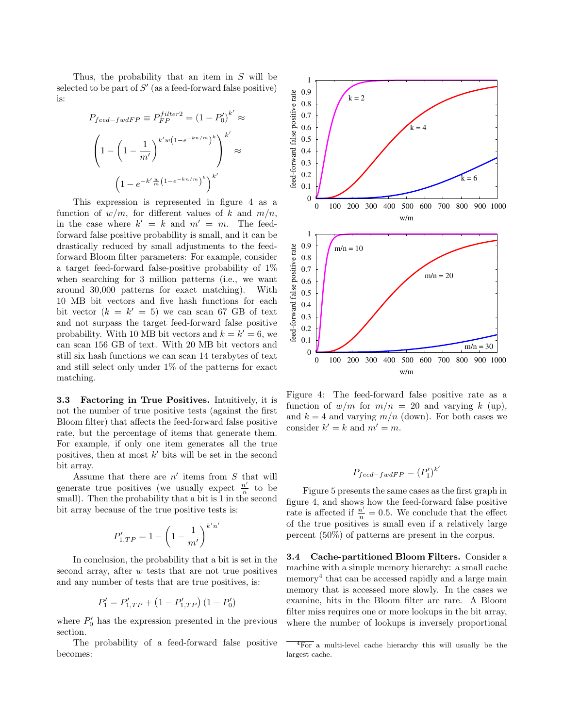Thus, the probability that an item in S will be selected to be part of  $S'$  (as a feed-forward false positive) is:

$$
P_{feed - fwdFP} \equiv P_{FP}^{filter2} = (1 - P_0')^{k'} \approx
$$
\n
$$
\left(1 - \left(1 - \frac{1}{m'}\right)^{k'w\left(1 - e^{-kn/m}\right)^k}\right)^{k'} \approx
$$
\n
$$
\left(1 - e^{-k'\frac{w}{m}\left(1 - e^{-kn/m}\right)^k}\right)^{k'}
$$

This expression is represented in figure [4](#page-5-0) as a function of  $w/m$ , for different values of k and  $m/n$ , in the case where  $k' = k$  and  $m' = m$ . The feedforward false positive probability is small, and it can be drastically reduced by small adjustments to the feedforward Bloom filter parameters: For example, consider a target feed-forward false-positive probability of 1% when searching for 3 million patterns (i.e., we want around 30,000 patterns for exact matching). With 10 MB bit vectors and five hash functions for each bit vector  $(k = k' = 5)$  we can scan 67 GB of text and not surpass the target feed-forward false positive probability. With 10 MB bit vectors and  $k = k' = 6$ , we can scan 156 GB of text. With 20 MB bit vectors and still six hash functions we can scan 14 terabytes of text and still select only under 1% of the patterns for exact matching. This expression is represented in figure 4 as a<br>
function of  $w/m$ , for different values of  $k$  and  $m/n$ ,<br>
function of wind the case where  $k' = k$  and  $m' = m$ . The feed-<br>
forward false positive probability is small, and it c

3.3 Factoring in True Positives. Intuitively, it is not the number of true positive tests (against the first Bloom filter) that affects the feed-forward false positive rate, but the percentage of items that generate them. For example, if only one item generates all the true positives, then at most  $k'$  bits will be set in the second bit array.

Assume that there are  $n'$  items from  $S$  that will generate true positives (we usually expect  $\frac{n'}{n}$  $\frac{n}{n}$  to be small). Then the probability that a bit is 1 in the second bit array because of the true positive tests is:

$$
P_{1,TP}'=1-\left(1-\frac{1}{m'}\right)^{k'n}
$$

 $\overline{\phantom{a}}$ 

In conclusion, the probability that a bit is set in the second array, after  $w$  tests that are not true positives and any number of tests that are true positives, is:

$$
P_1' = P_{1,TP}' + (1 - P_{1,TP}') (1 - P_0')
$$

where  $P'_0$  has the expression presented in the previous section.

The probability of a feed-forward false positive



<span id="page-5-0"></span>Figure 4: The feed-forward false positive rate as a function of  $w/m$  for  $m/n = 20$  and varying k (up), and  $k = 4$  and varying  $m/n$  (down). For both cases we consider  $k' = k$  and  $m' = m$ .

## $P_{feed-fwdFP} = (P'_1)^{k'}$

Figure [5](#page-6-1) presents the same cases as the first graph in figure [4,](#page-5-0) and shows how the feed-forward false positive rate is affected if  $\frac{n'}{n} = 0.5$ . We conclude that the effect of the true positives is small even if a relatively large percent (50%) of patterns are present in the corpus.

<span id="page-5-2"></span>3.4 Cache-partitioned Bloom Filters. Consider a machine with a simple memory hierarchy: a small cache memory<sup>[4](#page-5-1)</sup> that can be accessed rapidly and a large main memory that is accessed more slowly. In the cases we examine, hits in the Bloom filter are rare. A Bloom filter miss requires one or more lookups in the bit array, where the number of lookups is inversely proportional

<span id="page-5-1"></span> $\sqrt[4]{4}$  For a multi-level cache hierarchy this will usually be the largest cache.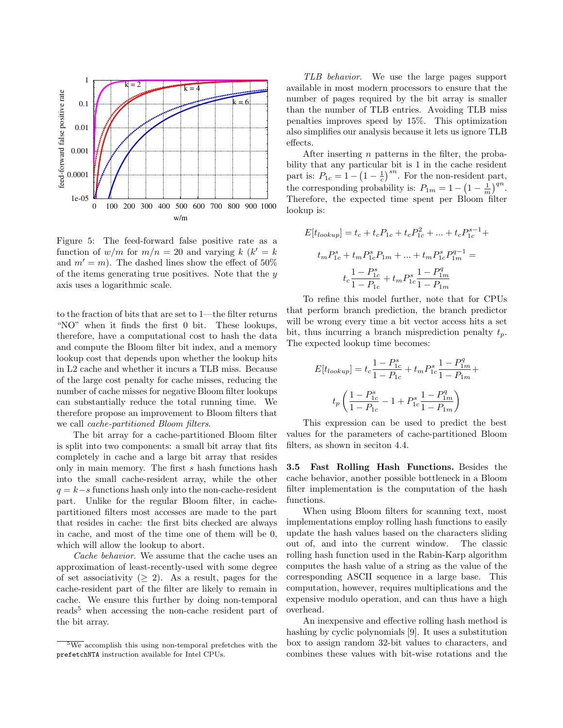

<span id="page-6-1"></span>Figure 5: The feed-forward false positive rate as a function of  $w/m$  for  $m/n = 20$  and varying  $k$   $(k' = k)$ and  $m' = m$ ). The dashed lines show the effect of 50% of the items generating true positives. Note that the  $y$ axis uses a logarithmic scale.

to the fraction of bits that are set to 1—the filter returns "NO" when it finds the first 0 bit. These lookups, therefore, have a computational cost to hash the data and compute the Bloom filter bit index, and a memory lookup cost that depends upon whether the lookup hits in L2 cache and whether it incurs a TLB miss. Because of the large cost penalty for cache misses, reducing the number of cache misses for negative Bloom filter lookups can substantially reduce the total running time. We therefore propose an improvement to Bloom filters that we call cache-partitioned Bloom filters.

The bit array for a cache-partitioned Bloom filter is split into two components: a small bit array that fits completely in cache and a large bit array that resides only in main memory. The first s hash functions hash into the small cache-resident array, while the other  $q = k-s$  functions hash only into the non-cache-resident part. Unlike for the regular Bloom filter, in cachepartitioned filters most accesses are made to the part that resides in cache: the first bits checked are always in cache, and most of the time one of them will be 0, which will allow the lookup to abort.

Cache behavior. We assume that the cache uses an approximation of least-recently-used with some degree of set associativity ( $\geq$  2). As a result, pages for the cache-resident part of the filter are likely to remain in cache. We ensure this further by doing non-temporal reads<sup>[5](#page-6-2)</sup> when accessing the non-cache resident part of the bit array.

TLB behavior. We use the large pages support available in most modern processors to ensure that the number of pages required by the bit array is smaller than the number of TLB entries. Avoiding TLB miss penalties improves speed by 15%. This optimization also simplifies our analysis because it lets us ignore TLB effects.

After inserting *n* patterns in the filter, the probability that any particular bit is 1 in the cache resident part is:  $P_{1c} = 1 - \left(1 - \frac{1}{c}\right)^{sn}$ . For the non-resident part, the corresponding probability is:  $P_{1m} = 1 - \left(1 - \frac{1}{m}\right)^{qn}$ . Therefore, the expected time spent per Bloom filter lookup is:

$$
E[t_{lookup}] = t_c + t_c P_{1c} + t_c P_{1c}^2 + \dots + t_c P_{1c}^{s-1} +
$$
  

$$
t_m P_{1c}^s + t_m P_{1c}^s P_{1m} + \dots + t_m P_{1c}^s P_{1m}^{q-1} =
$$
  

$$
t_c \frac{1 - P_{1c}^s}{1 - P_{1c}} + t_m P_{1c}^s \frac{1 - P_{1m}^q}{1 - P_{1m}}
$$

To refine this model further, note that for CPUs that perform branch prediction, the branch predictor will be wrong every time a bit vector access hits a set bit, thus incurring a branch misprediction penalty  $t_p$ . The expected lookup time becomes:

$$
E[t_{lookup}] = t_c \frac{1 - P_{1c}^s}{1 - P_{1c}} + t_m P_{1c}^s \frac{1 - P_{1m}^q}{1 - P_{1m}} +
$$

$$
t_p \left( \frac{1 - P_{1c}^s}{1 - P_{1c}} - 1 + P_{1c}^s \frac{1 - P_{1m}^q}{1 - P_{1m}} \right)
$$

This expression can be used to predict the best values for the parameters of cache-partitioned Bloom filters, as shown in seciton [4.4.](#page-9-0)

<span id="page-6-0"></span>3.5 Fast Rolling Hash Functions. Besides the cache behavior, another possible bottleneck in a Bloom filter implementation is the computation of the hash functions.

When using Bloom filters for scanning text, most implementations employ rolling hash functions to easily update the hash values based on the characters sliding out of, and into the current window. The classic rolling hash function used in the Rabin-Karp algorithm computes the hash value of a string as the value of the corresponding ASCII sequence in a large base. This computation, however, requires multiplications and the expensive modulo operation, and can thus have a high overhead.

An inexpensive and effective rolling hash method is hashing by cyclic polynomials [\[9\]](#page-11-16). It uses a substitution box to assign random 32-bit values to characters, and combines these values with bit-wise rotations and the

<span id="page-6-2"></span> $5\text{We}$  accomplish this using non-temporal prefetches with the prefetchNTA instruction available for Intel CPUs.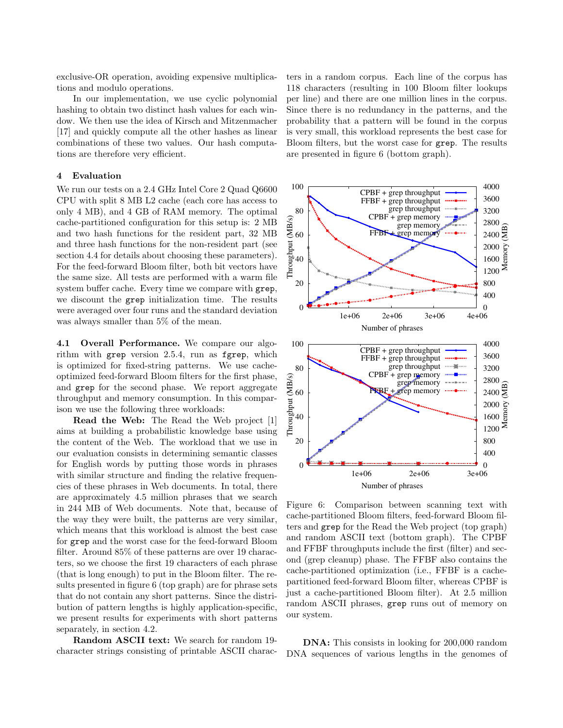exclusive-OR operation, avoiding expensive multiplications and modulo operations.

In our implementation, we use cyclic polynomial hashing to obtain two distinct hash values for each window. We then use the idea of Kirsch and Mitzenmacher [\[17\]](#page-11-8) and quickly compute all the other hashes as linear combinations of these two values. Our hash computations are therefore very efficient.

## <span id="page-7-0"></span>4 Evaluation

We run our tests on a 2.4 GHz Intel Core 2 Quad Q6600 CPU with split 8 MB L2 cache (each core has access to only 4 MB), and 4 GB of RAM memory. The optimal cache-partitioned configuration for this setup is: 2 MB and two hash functions for the resident part, 32 MB and three hash functions for the non-resident part (see section [4.4](#page-9-0) for details about choosing these parameters). For the feed-forward Bloom filter, both bit vectors have the same size. All tests are performed with a warm file system buffer cache. Every time we compare with grep, we discount the grep initialization time. The results were averaged over four runs and the standard deviation was always smaller than 5% of the mean.

<span id="page-7-2"></span>4.1 Overall Performance. We compare our algorithm with grep version 2.5.4, run as fgrep, which is optimized for fixed-string patterns. We use cacheoptimized feed-forward Bloom filters for the first phase, and grep for the second phase. We report aggregate throughput and memory consumption. In this comparison we use the following three workloads:

Read the Web: The Read the Web project [\[1\]](#page-10-0) aims at building a probabilistic knowledge base using the content of the Web. The workload that we use in our evaluation consists in determining semantic classes for English words by putting those words in phrases with similar structure and finding the relative frequencies of these phrases in Web documents. In total, there are approximately 4.5 million phrases that we search in 244 MB of Web documents. Note that, because of the way they were built, the patterns are very similar, which means that this workload is almost the best case for grep and the worst case for the feed-forward Bloom filter. Around 85% of these patterns are over 19 characters, so we choose the first 19 characters of each phrase (that is long enough) to put in the Bloom filter. The results presented in figure [6](#page-7-1) (top graph) are for phrase sets that do not contain any short patterns. Since the distribution of pattern lengths is highly application-specific, we present results for experiments with short patterns separately, in section [4.2.](#page-8-0)

Random ASCII text: We search for random 19 character strings consisting of printable ASCII characters in a random corpus. Each line of the corpus has 118 characters (resulting in 100 Bloom filter lookups per line) and there are one million lines in the corpus. Since there is no redundancy in the patterns, and the probability that a pattern will be found in the corpus is very small, this workload represents the best case for Bloom filters, but the worst case for grep. The results are presented in figure [6](#page-7-1) (bottom graph).



<span id="page-7-1"></span>Figure 6: Comparison between scanning text with cache-partitioned Bloom filters, feed-forward Bloom filters and grep for the Read the Web project (top graph) and random ASCII text (bottom graph). The CPBF and FFBF throughputs include the first (filter) and second (grep cleanup) phase. The FFBF also contains the cache-partitioned optimization (i.e., FFBF is a cachepartitioned feed-forward Bloom filter, whereas CPBF is just a cache-partitioned Bloom filter). At 2.5 million random ASCII phrases, grep runs out of memory on our system.

DNA: This consists in looking for 200,000 random DNA sequences of various lengths in the genomes of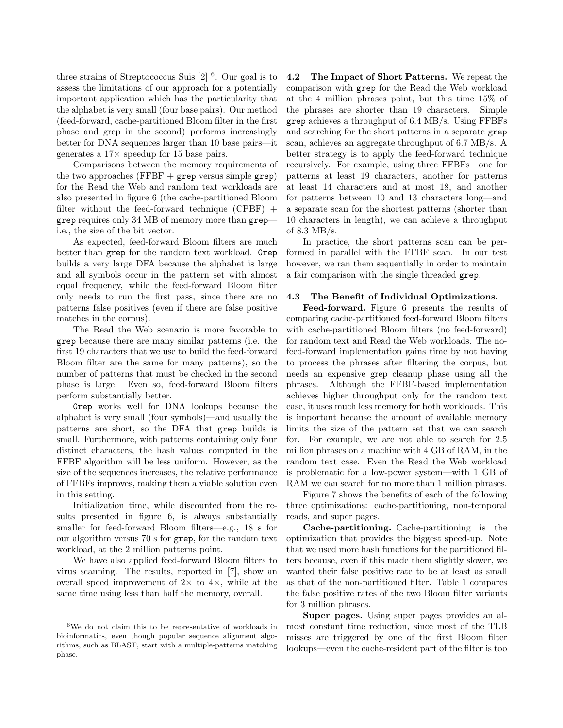three strains of Streptococcus Suis  $[2]$ <sup>[6](#page-8-1)</sup>. Our goal is to assess the limitations of our approach for a potentially important application which has the particularity that the alphabet is very small (four base pairs). Our method (feed-forward, cache-partitioned Bloom filter in the first phase and grep in the second) performs increasingly better for DNA sequences larger than 10 base pairs—it generates a  $17\times$  speedup for 15 base pairs.

Comparisons between the memory requirements of the two approaches  $(FFBF + grep)$  versus simple grep) for the Read the Web and random text workloads are also presented in figure [6](#page-7-1) (the cache-partitioned Bloom filter without the feed-forward technique  $(CPBF)$  + grep requires only 34 MB of memory more than grep i.e., the size of the bit vector.

As expected, feed-forward Bloom filters are much better than grep for the random text workload. Grep builds a very large DFA because the alphabet is large and all symbols occur in the pattern set with almost equal frequency, while the feed-forward Bloom filter only needs to run the first pass, since there are no patterns false positives (even if there are false positive matches in the corpus).

The Read the Web scenario is more favorable to grep because there are many similar patterns (i.e. the first 19 characters that we use to build the feed-forward Bloom filter are the same for many patterns), so the number of patterns that must be checked in the second phase is large. Even so, feed-forward Bloom filters perform substantially better.

Grep works well for DNA lookups because the alphabet is very small (four symbols)—and usually the patterns are short, so the DFA that grep builds is small. Furthermore, with patterns containing only four distinct characters, the hash values computed in the FFBF algorithm will be less uniform. However, as the size of the sequences increases, the relative performance of FFBFs improves, making them a viable solution even in this setting.

Initialization time, while discounted from the results presented in figure [6,](#page-7-1) is always substantially smaller for feed-forward Bloom filters—e.g., 18 s for our algorithm versus 70 s for grep, for the random text workload, at the 2 million patterns point.

We have also applied feed-forward Bloom filters to virus scanning. The results, reported in [\[7\]](#page-11-15), show an overall speed improvement of  $2 \times$  to  $4 \times$ , while at the same time using less than half the memory, overall.

<span id="page-8-0"></span>4.2 The Impact of Short Patterns. We repeat the comparison with grep for the Read the Web workload at the 4 million phrases point, but this time 15% of the phrases are shorter than 19 characters. Simple grep achieves a throughput of 6.4 MB/s. Using FFBFs and searching for the short patterns in a separate grep scan, achieves an aggregate throughput of 6.7 MB/s. A better strategy is to apply the feed-forward technique recursively. For example, using three FFBFs—one for patterns at least 19 characters, another for patterns at least 14 characters and at most 18, and another for patterns between 10 and 13 characters long—and a separate scan for the shortest patterns (shorter than 10 characters in length), we can achieve a throughput of 8.3 MB/s.

In practice, the short patterns scan can be performed in parallel with the FFBF scan. In our test however, we ran them sequentially in order to maintain a fair comparison with the single threaded grep.

#### 4.3 The Benefit of Individual Optimizations.

Feed-forward. Figure [6](#page-7-1) presents the results of comparing cache-partitioned feed-forward Bloom filters with cache-partitioned Bloom filters (no feed-forward) for random text and Read the Web workloads. The nofeed-forward implementation gains time by not having to process the phrases after filtering the corpus, but needs an expensive grep cleanup phase using all the phrases. Although the FFBF-based implementation achieves higher throughput only for the random text case, it uses much less memory for both workloads. This is important because the amount of available memory limits the size of the pattern set that we can search for. For example, we are not able to search for 2.5 million phrases on a machine with 4 GB of RAM, in the random text case. Even the Read the Web workload is problematic for a low-power system—with 1 GB of RAM we can search for no more than 1 million phrases.

Figure [7](#page-9-1) shows the benefits of each of the following three optimizations: cache-partitioning, non-temporal reads, and super pages.

Cache-partitioning. Cache-partitioning is the optimization that provides the biggest speed-up. Note that we used more hash functions for the partitioned filters because, even if this made them slightly slower, we wanted their false positive rate to be at least as small as that of the non-partitioned filter. Table [1](#page-9-2) compares the false positive rates of the two Bloom filter variants for 3 million phrases.

Super pages. Using super pages provides an almost constant time reduction, since most of the TLB misses are triggered by one of the first Bloom filter lookups—even the cache-resident part of the filter is too

<span id="page-8-1"></span> $\sqrt[6]{6}$  do not claim this to be representative of workloads in bioinformatics, even though popular sequence alignment algorithms, such as BLAST, start with a multiple-patterns matching phase.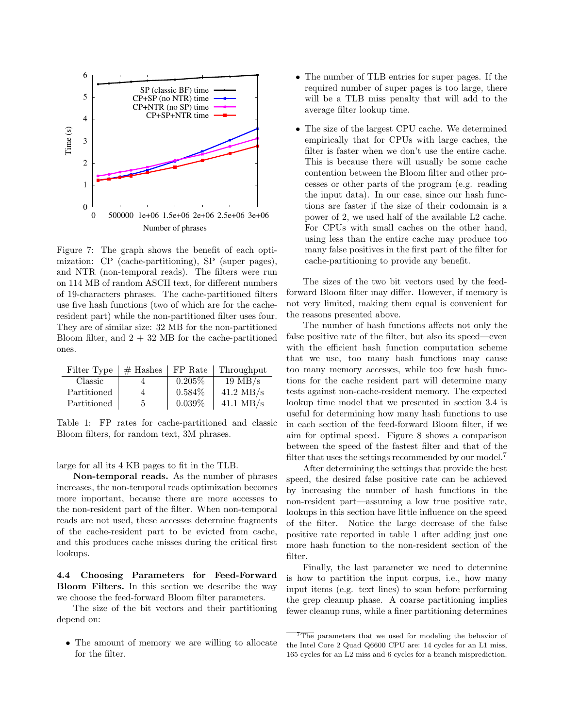

<span id="page-9-1"></span>Figure 7: The graph shows the benefit of each optimization: CP (cache-partitioning), SP (super pages), and NTR (non-temporal reads). The filters were run on 114 MB of random ASCII text, for different numbers of 19-characters phrases. The cache-partitioned filters use five hash functions (two of which are for the cacheresident part) while the non-partitioned filter uses four. They are of similar size: 32 MB for the non-partitioned Bloom filter, and  $2 + 32$  MB for the cache-partitioned ones.

| Filter Type | $#$ Hashes | $\vert$ FP Rate | Throughput          |
|-------------|------------|-----------------|---------------------|
| Classic     |            | $0.205\%$       | $19 \text{ MB/s}$   |
| Partitioned | 4          | $0.584\%$       | $41.2 \text{ MB/s}$ |
| Partitioned | 5          | $0.039\%$       | $41.1 \text{ MB/s}$ |

<span id="page-9-2"></span>Table 1: FP rates for cache-partitioned and classic Bloom filters, for random text, 3M phrases.

large for all its 4 KB pages to fit in the TLB.

Non-temporal reads. As the number of phrases increases, the non-temporal reads optimization becomes more important, because there are more accesses to the non-resident part of the filter. When non-temporal reads are not used, these accesses determine fragments of the cache-resident part to be evicted from cache, and this produces cache misses during the critical first lookups.

<span id="page-9-0"></span>4.4 Choosing Parameters for Feed-Forward Bloom Filters. In this section we describe the way we choose the feed-forward Bloom filter parameters.

The size of the bit vectors and their partitioning depend on:

• The amount of memory we are willing to allocate for the filter.

- The number of TLB entries for super pages. If the required number of super pages is too large, there will be a TLB miss penalty that will add to the average filter lookup time.
- The size of the largest CPU cache. We determined empirically that for CPUs with large caches, the filter is faster when we don't use the entire cache. This is because there will usually be some cache contention between the Bloom filter and other processes or other parts of the program (e.g. reading the input data). In our case, since our hash functions are faster if the size of their codomain is a power of 2, we used half of the available L2 cache. For CPUs with small caches on the other hand, using less than the entire cache may produce too many false positives in the first part of the filter for cache-partitioning to provide any benefit.

The sizes of the two bit vectors used by the feedforward Bloom filter may differ. However, if memory is not very limited, making them equal is convenient for the reasons presented above.

The number of hash functions affects not only the false positive rate of the filter, but also its speed—even with the efficient hash function computation scheme that we use, too many hash functions may cause too many memory accesses, while too few hash functions for the cache resident part will determine many tests against non-cache-resident memory. The expected lookup time model that we presented in section [3.4](#page-5-2) is useful for determining how many hash functions to use in each section of the feed-forward Bloom filter, if we aim for optimal speed. Figure [8](#page-10-5) shows a comparison between the speed of the fastest filter and that of the filter that uses the settings recommended by our model.<sup>[7](#page-9-3)</sup>

After determining the settings that provide the best speed, the desired false positive rate can be achieved by increasing the number of hash functions in the non-resident part—assuming a low true positive rate, lookups in this section have little influence on the speed of the filter. Notice the large decrease of the false positive rate reported in table [1](#page-9-2) after adding just one more hash function to the non-resident section of the filter.

Finally, the last parameter we need to determine is how to partition the input corpus, i.e., how many input items (e.g. text lines) to scan before performing the grep cleanup phase. A coarse partitioning implies fewer cleanup runs, while a finer partitioning determines

<span id="page-9-3"></span><sup>7</sup>The parameters that we used for modeling the behavior of the Intel Core 2 Quad Q6600 CPU are: 14 cycles for an L1 miss, 165 cycles for an L2 miss and 6 cycles for a branch misprediction.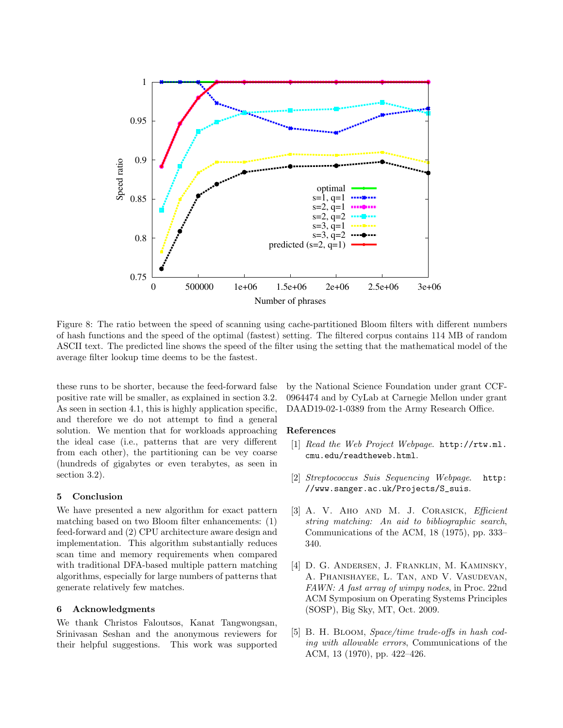

<span id="page-10-5"></span>Figure 8: The ratio between the speed of scanning using cache-partitioned Bloom filters with different numbers of hash functions and the speed of the optimal (fastest) setting. The filtered corpus contains 114 MB of random ASCII text. The predicted line shows the speed of the filter using the setting that the mathematical model of the average filter lookup time deems to be the fastest.

these runs to be shorter, because the feed-forward false positive rate will be smaller, as explained in section [3.2.](#page-3-0) As seen in section [4.1,](#page-7-2) this is highly application specific, and therefore we do not attempt to find a general solution. We mention that for workloads approaching the ideal case (i.e., patterns that are very different from each other), the partitioning can be vey coarse (hundreds of gigabytes or even terabytes, as seen in section [3.2\)](#page-3-0).

#### 5 Conclusion

We have presented a new algorithm for exact pattern matching based on two Bloom filter enhancements: (1) feed-forward and (2) CPU architecture aware design and implementation. This algorithm substantially reduces scan time and memory requirements when compared with traditional DFA-based multiple pattern matching algorithms, especially for large numbers of patterns that generate relatively few matches.

## 6 Acknowledgments

We thank Christos Faloutsos, Kanat Tangwongsan, Srinivasan Seshan and the anonymous reviewers for their helpful suggestions. This work was supported

by the National Science Foundation under grant CCF-0964474 and by CyLab at Carnegie Mellon under grant DAAD19-02-1-0389 from the Army Research Office.

#### References

- <span id="page-10-0"></span>[1] Read the Web Project Webpage. [http://rtw.ml.](http://rtw.ml.cmu.edu/readtheweb.html) [cmu.edu/readtheweb.html](http://rtw.ml.cmu.edu/readtheweb.html).
- <span id="page-10-4"></span>[2] Streptococcus Suis Sequencing Webpage. [http:](http://www.sanger.ac.uk/Projects/S_suis) [//www.sanger.ac.uk/Projects/S\\_suis](http://www.sanger.ac.uk/Projects/S_suis).
- <span id="page-10-1"></span>[3] A. V. Aho AND M. J. CORASICK, Efficient string matching: An aid to bibliographic search, Communications of the ACM, 18 (1975), pp. 333– 340.
- <span id="page-10-2"></span>[4] D. G. Andersen, J. Franklin, M. Kaminsky, A. Phanishayee, L. Tan, and V. Vasudevan, FAWN: A fast array of wimpy nodes, in Proc. 22nd ACM Symposium on Operating Systems Principles (SOSP), Big Sky, MT, Oct. 2009.
- <span id="page-10-3"></span>[5] B. H. BLOOM, Space/time trade-offs in hash coding with allowable errors, Communications of the ACM, 13 (1970), pp. 422–426.